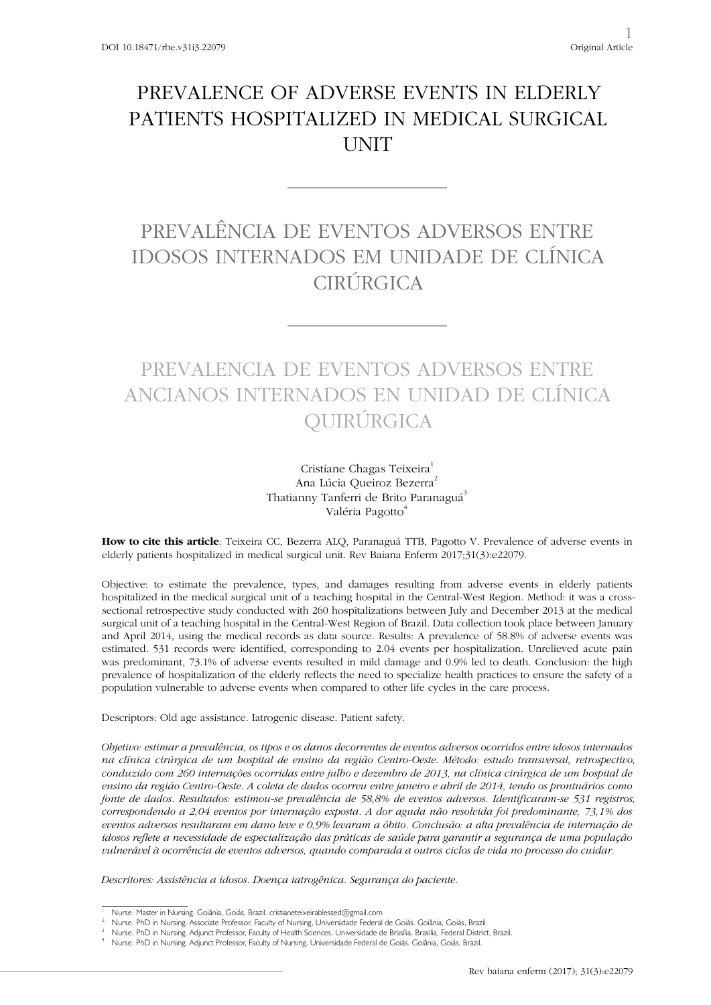## PREVALENCE OF ADVERSE EVENTS IN ELDERLY PATIENTS HOSPITALIZED IN MEDICAL SURGICAL **UNIT**

# PREVALÊNCIA DE EVENTOS ADVERSOS ENTRE IDOSOS INTERNADOS EM UNIDADE DE CLÍNICA **CIRÚRGICA**

## PREVALENCIA DE EVENTOS ADVERSOS ENTRE ANCIANOS INTERNADOS EN UNIDAD DE CLÍNICA QUIRÚRGICA

Cristiane Chagas Teixeira<sup>1</sup> Ana Lúcia Queiroz Bezerra<sup>2</sup> Thatianny Tanferri de Brito Paranaguá<sup>3</sup> Valéria Pagotto<sup>4</sup>

**How to cite this article**: Teixeira CC, Bezerra ALQ, Paranaguá TTB, Pagotto V. Prevalence of adverse events in elderly patients hospitalized in medical surgical unit. Rev Baiana Enferm 2017;31(3):e22079.

Objective: to estimate the prevalence, types, and damages resulting from adverse events in elderly patients hospitalized in the medical surgical unit of a teaching hospital in the Central-West Region. Method: it was a crosssectional retrospective study conducted with 260 hospitalizations between July and December 2013 at the medical surgical unit of a teaching hospital in the Central-West Region of Brazil. Data collection took place between January and April 2014, using the medical records as data source. Results: A prevalence of 58.8% of adverse events was estimated. 531 records were identified, corresponding to 2.04 events per hospitalization. Unrelieved acute pain was predominant, 73.1% of adverse events resulted in mild damage and 0.9% led to death. Conclusion: the high prevalence of hospitalization of the elderly reflects the need to specialize health practices to ensure the safety of a population vulnerable to adverse events when compared to other life cycles in the care process.

Descriptors: Old age assistance. Iatrogenic disease. Patient safety.

*Objetivo: estimar a prevalência, os tipos e os danos decorrentes de eventos adversos ocorridos entre idosos internados na clínica cirúrgica de um hospital de ensino da região Centro-Oeste. Método: estudo transversal, retrospectivo, conduzido com 260 internações ocorridas entre julho e dezembro de 2013, na clínica cirúrgica de um hospital de ensino da região Centro-Oeste. A coleta de dados ocorreu entre janeiro e abril de 2014, tendo os prontuários como fonte de dados. Resultados: estimou-se prevalência de 58,8% de eventos adversos. Identificaram-se 531 registros, correspondendo a 2,04 eventos por internação exposta. A dor aguda não resolvida foi predominante, 73,1% dos eventos adversos resultaram em dano leve e 0,9% levaram a óbito. Conclusão: a alta prevalência de internação de idosos reflete a necessidade de especialização das práticas de saúde para garantir a segurança de uma população vulnerável à ocorrência de eventos adversos, quando comparada a outros ciclos de vida no processo do cuidar.*

*Descritores: Assistência a idosos. Doença iatrogênica. Segurança do paciente.* 

<sup>1</sup> Nurse. Master in Nursing. Goiânia, Goiás, Brazil. cristianeteixeirablessed@gmail.com

<sup>2</sup> Nurse. PhD in Nursing. Associate Professor, Faculty of Nursing, Universidade Federal de Goiás. Goiânia, Goiás, Brazil.

<sup>3</sup> Nurse. PhD in Nursing. Adjunct Professor, Faculty of Health Sciences, Universidade de Brasília. Brasília, Federal District, Brazil.

<sup>4</sup> Nurse. PhD in Nursing. Adjunct Professor, Faculty of Nursing, Universidade Federal de Goiás. Goiânia, Goiás, Brazil.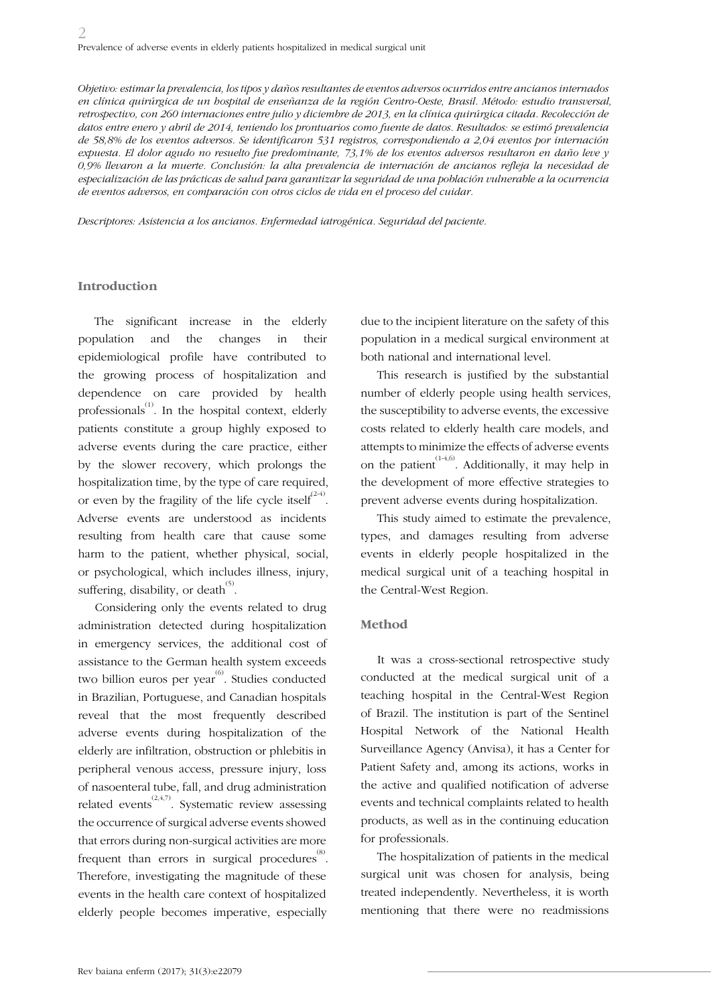*Objetivo: estimar la prevalencia, los tipos y daños resultantes de eventos adversos ocurridos entre ancianos internados en clínica quirúrgica de un hospital de enseñanza de la región Centro-Oeste, Brasil. Método: estudio transversal, retrospectivo, con 260 internaciones entre julio y diciembre de 2013, en la clínica quirúrgica citada. Recolección de datos entre enero y abril de 2014, teniendo los prontuarios como fuente de datos. Resultados: se estimó prevalencia de 58,8% de los eventos adversos. Se identificaron 531 registros, correspondiendo a 2,04 eventos por internación expuesta. El dolor agudo no resuelto fue predominante, 73,1% de los eventos adversos resultaron en daño leve y 0,9% llevaron a la muerte. Conclusión: la alta prevalencia de internación de ancianos refleja la necesidad de especialización de las prácticas de salud para garantizar la seguridad de una población vulnerable a la ocurrencia de eventos adversos, en comparación con otros ciclos de vida en el proceso del cuidar.*

*Descriptores: Asistencia a los ancianos. Enfermedad iatrogénica. Seguridad del paciente.*

#### **Introduction**

The significant increase in the elderly population and the changes in their epidemiological profile have contributed to the growing process of hospitalization and dependence on care provided by health professionals<sup>(1)</sup>. In the hospital context, elderly patients constitute a group highly exposed to adverse events during the care practice, either by the slower recovery, which prolongs the hospitalization time, by the type of care required, or even by the fragility of the life cycle itself<sup> $(2-4)$ </sup>. Adverse events are understood as incidents resulting from health care that cause some harm to the patient, whether physical, social, or psychological, which includes illness, injury, suffering, disability, or death $^{(5)}$ .

Considering only the events related to drug administration detected during hospitalization in emergency services, the additional cost of assistance to the German health system exceeds two billion euros per year<sup>(6)</sup>. Studies conducted in Brazilian, Portuguese, and Canadian hospitals reveal that the most frequently described adverse events during hospitalization of the elderly are infiltration, obstruction or phlebitis in peripheral venous access, pressure injury, loss of nasoenteral tube, fall, and drug administration related events<sup> $(2,4,7)$ </sup>. Systematic review assessing the occurrence of surgical adverse events showed that errors during non-surgical activities are more frequent than errors in surgical procedures  $^{(8)}$ . Therefore, investigating the magnitude of these events in the health care context of hospitalized elderly people becomes imperative, especially

due to the incipient literature on the safety of this population in a medical surgical environment at both national and international level.

This research is justified by the substantial number of elderly people using health services, the susceptibility to adverse events, the excessive costs related to elderly health care models, and attempts to minimize the effects of adverse events on the patient<sup> $(1-4,6)$ </sup>. Additionally, it may help in the development of more effective strategies to prevent adverse events during hospitalization.

This study aimed to estimate the prevalence, types, and damages resulting from adverse events in elderly people hospitalized in the medical surgical unit of a teaching hospital in the Central-West Region.

#### **Method**

It was a cross-sectional retrospective study conducted at the medical surgical unit of a teaching hospital in the Central-West Region of Brazil. The institution is part of the Sentinel Hospital Network of the National Health Surveillance Agency (Anvisa), it has a Center for Patient Safety and, among its actions, works in the active and qualified notification of adverse events and technical complaints related to health products, as well as in the continuing education for professionals.

The hospitalization of patients in the medical surgical unit was chosen for analysis, being treated independently. Nevertheless, it is worth mentioning that there were no readmissions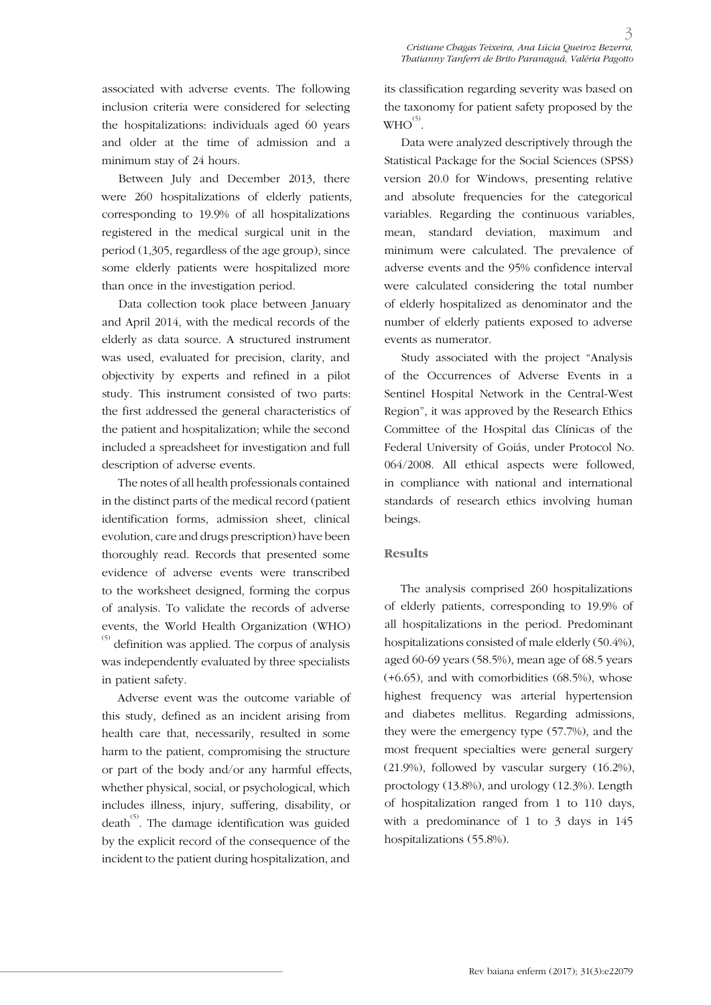associated with adverse events. The following inclusion criteria were considered for selecting the hospitalizations: individuals aged 60 years and older at the time of admission and a minimum stay of 24 hours.

Between July and December 2013, there were 260 hospitalizations of elderly patients, corresponding to 19.9% of all hospitalizations registered in the medical surgical unit in the period (1,305, regardless of the age group), since some elderly patients were hospitalized more than once in the investigation period.

Data collection took place between January and April 2014, with the medical records of the elderly as data source. A structured instrument was used, evaluated for precision, clarity, and objectivity by experts and refined in a pilot study. This instrument consisted of two parts: the first addressed the general characteristics of the patient and hospitalization; while the second included a spreadsheet for investigation and full description of adverse events.

The notes of all health professionals contained in the distinct parts of the medical record (patient identification forms, admission sheet, clinical evolution, care and drugs prescription) have been thoroughly read. Records that presented some evidence of adverse events were transcribed to the worksheet designed, forming the corpus of analysis. To validate the records of adverse events, the World Health Organization (WHO)  $^{(5)}$  definition was applied. The corpus of analysis was independently evaluated by three specialists in patient safety.

Adverse event was the outcome variable of this study, defined as an incident arising from health care that, necessarily, resulted in some harm to the patient, compromising the structure or part of the body and/or any harmful effects, whether physical, social, or psychological, which includes illness, injury, suffering, disability, or death<sup> $(5)$ </sup>. The damage identification was guided by the explicit record of the consequence of the incident to the patient during hospitalization, and

its classification regarding severity was based on the taxonomy for patient safety proposed by the  $WHO^{(5)}$ .

Data were analyzed descriptively through the Statistical Package for the Social Sciences (SPSS) version 20.0 for Windows, presenting relative and absolute frequencies for the categorical variables. Regarding the continuous variables, mean, standard deviation, maximum and minimum were calculated. The prevalence of adverse events and the 95% confidence interval were calculated considering the total number of elderly hospitalized as denominator and the number of elderly patients exposed to adverse events as numerator.

Study associated with the project "Analysis of the Occurrences of Adverse Events in a Sentinel Hospital Network in the Central-West Region", it was approved by the Research Ethics Committee of the Hospital das Clínicas of the Federal University of Goiás, under Protocol No. 064/2008. All ethical aspects were followed, in compliance with national and international standards of research ethics involving human beings.

## **Results**

The analysis comprised 260 hospitalizations of elderly patients, corresponding to 19.9% of all hospitalizations in the period. Predominant hospitalizations consisted of male elderly (50.4%), aged 60-69 years (58.5%), mean age of 68.5 years (+6.65), and with comorbidities (68.5%), whose highest frequency was arterial hypertension and diabetes mellitus. Regarding admissions, they were the emergency type (57.7%), and the most frequent specialties were general surgery (21.9%), followed by vascular surgery (16.2%), proctology (13.8%), and urology (12.3%). Length of hospitalization ranged from 1 to 110 days, with a predominance of 1 to 3 days in 145 hospitalizations (55.8%).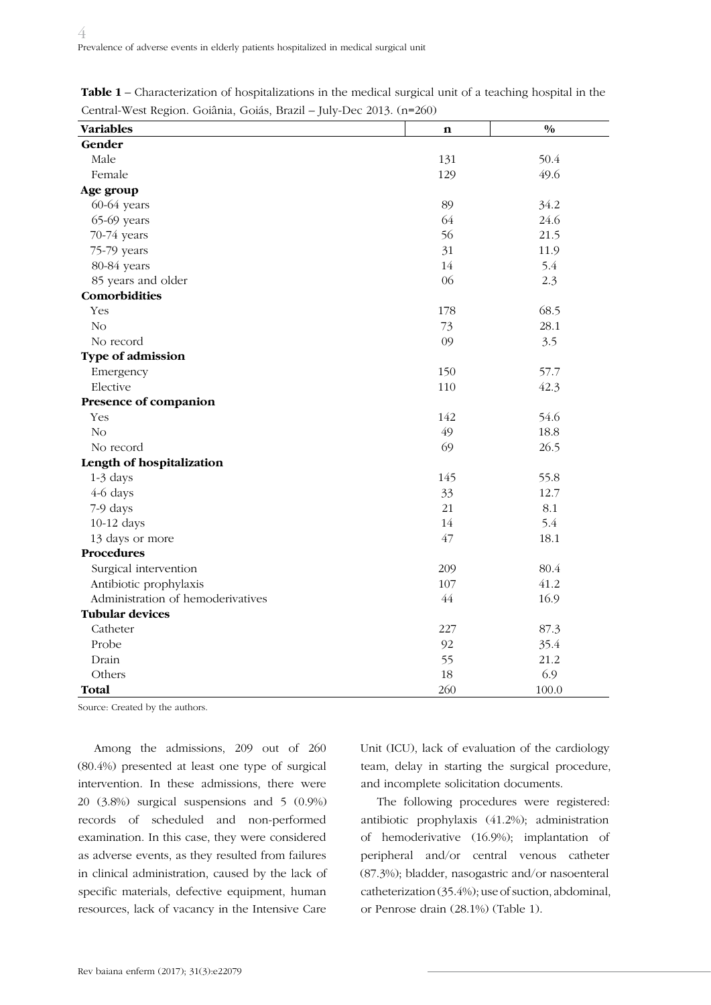| <b>Variables</b>                  | n   | $\frac{0}{0}$ |
|-----------------------------------|-----|---------------|
| Gender                            |     |               |
| Male                              | 131 | 50.4          |
| Female                            | 129 | 49.6          |
| Age group                         |     |               |
| 60-64 years                       | 89  | 34.2          |
| 65-69 years                       | 64  | 24.6          |
| 70-74 years                       | 56  | 21.5          |
| 75-79 years                       | 31  | 11.9          |
| 80-84 years                       | 14  | 5.4           |
| 85 years and older                | 06  | 2.3           |
| Comorbidities                     |     |               |
| Yes                               | 178 | 68.5          |
| N <sub>o</sub>                    | 73  | 28.1          |
| No record                         | 09  | 3.5           |
| Type of admission                 |     |               |
| Emergency                         | 150 | 57.7          |
| Elective                          | 110 | 42.3          |
| Presence of companion             |     |               |
| Yes                               | 142 | 54.6          |
| N <sub>o</sub>                    | 49  | 18.8          |
| No record                         | 69  | 26.5          |
| Length of hospitalization         |     |               |
| 1-3 days                          | 145 | 55.8          |
| 4-6 days                          | 33  | 12.7          |
| 7-9 days                          | 21  | 8.1           |
| 10-12 days                        | 14  | 5.4           |
| 13 days or more                   | 47  | 18.1          |
| <b>Procedures</b>                 |     |               |
| Surgical intervention             | 209 | 80.4          |
| Antibiotic prophylaxis            | 107 | 41.2          |
| Administration of hemoderivatives | 44  | 16.9          |
| <b>Tubular devices</b>            |     |               |
| Catheter                          | 227 | 87.3          |
| Probe                             | 92  | 35.4          |
| Drain                             | 55  | 21.2          |
| Others                            | 18  | 6.9           |
| <b>Total</b>                      | 260 | 100.0         |

**Table 1** – Characterization of hospitalizations in the medical surgical unit of a teaching hospital in the Central-West Region. Goiânia, Goiás, Brazil – July-Dec 2013. (n=260)

Source: Created by the authors.

Among the admissions, 209 out of 260 (80.4%) presented at least one type of surgical intervention. In these admissions, there were 20 (3.8%) surgical suspensions and 5 (0.9%) records of scheduled and non-performed examination. In this case, they were considered as adverse events, as they resulted from failures in clinical administration, caused by the lack of specific materials, defective equipment, human resources, lack of vacancy in the Intensive Care

Unit (ICU), lack of evaluation of the cardiology team, delay in starting the surgical procedure, and incomplete solicitation documents.

The following procedures were registered: antibiotic prophylaxis (41.2%); administration of hemoderivative (16.9%); implantation of peripheral and/or central venous catheter (87.3%); bladder, nasogastric and/or nasoenteral catheterization (35.4%); use of suction, abdominal, or Penrose drain (28.1%) (Table 1).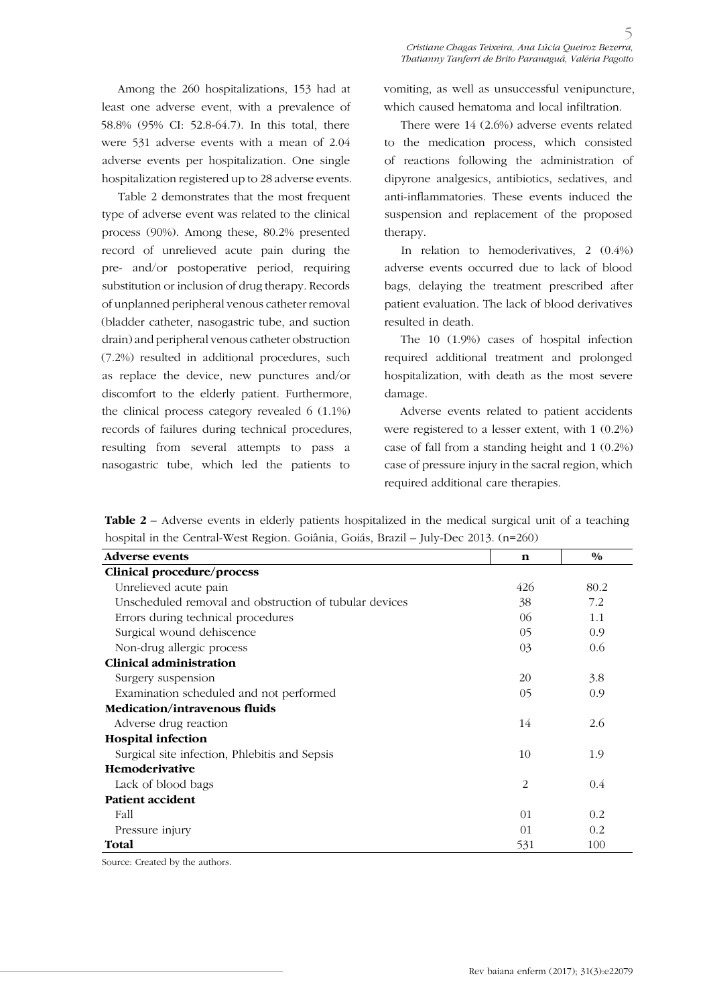Among the 260 hospitalizations, 153 had at least one adverse event, with a prevalence of 58.8% (95% CI: 52.8-64.7). In this total, there were 531 adverse events with a mean of 2.04 adverse events per hospitalization. One single hospitalization registered up to 28 adverse events.

Table 2 demonstrates that the most frequent type of adverse event was related to the clinical process (90%). Among these, 80.2% presented record of unrelieved acute pain during the pre- and/or postoperative period, requiring substitution or inclusion of drug therapy. Records of unplanned peripheral venous catheter removal (bladder catheter, nasogastric tube, and suction drain) and peripheral venous catheter obstruction (7.2%) resulted in additional procedures, such as replace the device, new punctures and/or discomfort to the elderly patient. Furthermore, the clinical process category revealed 6 (1.1%) records of failures during technical procedures, resulting from several attempts to pass a nasogastric tube, which led the patients to

vomiting, as well as unsuccessful venipuncture, which caused hematoma and local infiltration.

There were 14 (2.6%) adverse events related to the medication process, which consisted of reactions following the administration of dipyrone analgesics, antibiotics, sedatives, and anti-inflammatories. These events induced the suspension and replacement of the proposed therapy.

In relation to hemoderivatives, 2 (0.4%) adverse events occurred due to lack of blood bags, delaying the treatment prescribed after patient evaluation. The lack of blood derivatives resulted in death.

The 10 (1.9%) cases of hospital infection required additional treatment and prolonged hospitalization, with death as the most severe damage.

Adverse events related to patient accidents were registered to a lesser extent, with 1 (0.2%) case of fall from a standing height and 1 (0.2%) case of pressure injury in the sacral region, which required additional care therapies.

**Table 2 –** Adverse events in elderly patients hospitalized in the medical surgical unit of a teaching hospital in the Central-West Region. Goiânia, Goiás, Brazil – July-Dec 2013. (n=260)

| <b>Adverse events</b>                                  | n   | $\frac{0}{0}$ |
|--------------------------------------------------------|-----|---------------|
| Clinical procedure/process                             |     |               |
| Unrelieved acute pain                                  | 426 | 80.2          |
| Unscheduled removal and obstruction of tubular devices | 38  | 7.2           |
| Errors during technical procedures                     | 06  | 1.1           |
| Surgical wound dehiscence                              | 05  | 0.9           |
| Non-drug allergic process                              | 03  | 0.6           |
| Clinical administration                                |     |               |
| Surgery suspension                                     | 20  | 3.8           |
| Examination scheduled and not performed                | 05  | 0.9           |
| <b>Medication/intravenous fluids</b>                   |     |               |
| Adverse drug reaction                                  | 14  | 2.6           |
| <b>Hospital infection</b>                              |     |               |
| Surgical site infection, Phlebitis and Sepsis          | 10  | 1.9           |
| <b>Hemoderivative</b>                                  |     |               |
| Lack of blood bags                                     | 2   | 0.4           |
| <b>Patient accident</b>                                |     |               |
| Fall                                                   | 01  | 0.2           |
| Pressure injury                                        | 01  | 0.2           |
| Total                                                  | 531 | 100           |

Source: Created by the authors.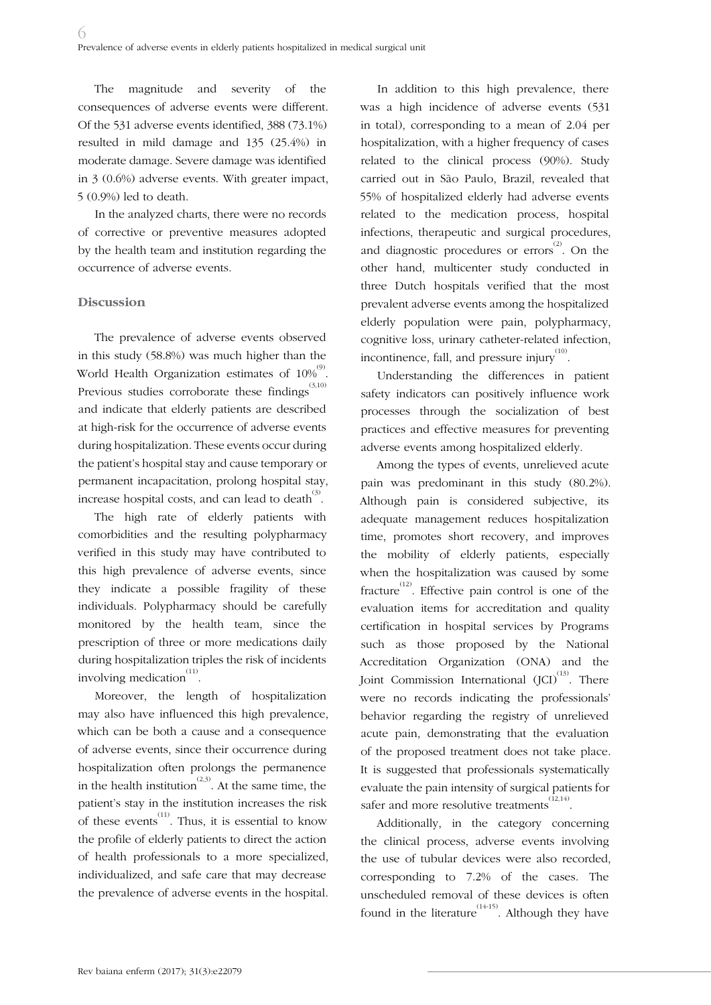The magnitude and severity of the consequences of adverse events were different. Of the 531 adverse events identified, 388 (73.1%) resulted in mild damage and 135 (25.4%) in moderate damage. Severe damage was identified in 3 (0.6%) adverse events. With greater impact, 5 (0.9%) led to death.

In the analyzed charts, there were no records of corrective or preventive measures adopted by the health team and institution regarding the occurrence of adverse events.

## **Discussion**

The prevalence of adverse events observed in this study (58.8%) was much higher than the World Health Organization estimates of  $10\%^{\circ\circ}$ . Previous studies corroborate these findings $^{(3,10)}$ and indicate that elderly patients are described at high-risk for the occurrence of adverse events during hospitalization. These events occur during the patient's hospital stay and cause temporary or permanent incapacitation, prolong hospital stay, increase hospital costs, and can lead to death $^{(3)}$ .

The high rate of elderly patients with comorbidities and the resulting polypharmacy verified in this study may have contributed to this high prevalence of adverse events, since they indicate a possible fragility of these individuals. Polypharmacy should be carefully monitored by the health team, since the prescription of three or more medications daily during hospitalization triples the risk of incidents involving medication $\sum_{i=1}^{(11)}$ 

Moreover, the length of hospitalization may also have influenced this high prevalence, which can be both a cause and a consequence of adverse events, since their occurrence during hospitalization often prolongs the permanence in the health institution<sup>(2,3)</sup>. At the same time, the patient's stay in the institution increases the risk of these events<sup> $(11)$ </sup>. Thus, it is essential to know the profile of elderly patients to direct the action of health professionals to a more specialized, individualized, and safe care that may decrease the prevalence of adverse events in the hospital.

In addition to this high prevalence, there was a high incidence of adverse events (531 in total), corresponding to a mean of 2.04 per hospitalization, with a higher frequency of cases related to the clinical process (90%). Study carried out in São Paulo, Brazil, revealed that 55% of hospitalized elderly had adverse events related to the medication process, hospital infections, therapeutic and surgical procedures, and diagnostic procedures or errors<sup>(2)</sup>. On the other hand, multicenter study conducted in three Dutch hospitals verified that the most prevalent adverse events among the hospitalized elderly population were pain, polypharmacy, cognitive loss, urinary catheter-related infection, incontinence, fall, and pressure injury $^{(10)}$ .

Understanding the differences in patient safety indicators can positively influence work processes through the socialization of best practices and effective measures for preventing adverse events among hospitalized elderly.

Among the types of events, unrelieved acute pain was predominant in this study (80.2%). Although pain is considered subjective, its adequate management reduces hospitalization time, promotes short recovery, and improves the mobility of elderly patients, especially when the hospitalization was caused by some fracture<sup>(12)</sup>. Effective pain control is one of the evaluation items for accreditation and quality certification in hospital services by Programs such as those proposed by the National Accreditation Organization (ONA) and the Joint Commission International  $(JCI)^{(13)}$ . There were no records indicating the professionals' behavior regarding the registry of unrelieved acute pain, demonstrating that the evaluation of the proposed treatment does not take place. It is suggested that professionals systematically evaluate the pain intensity of surgical patients for safer and more resolutive treatments<sup>(12,14)</sup>.

Additionally, in the category concerning the clinical process, adverse events involving the use of tubular devices were also recorded, corresponding to 7.2% of the cases. The unscheduled removal of these devices is often found in the literature<sup> $(14-15)$ </sup>. Although they have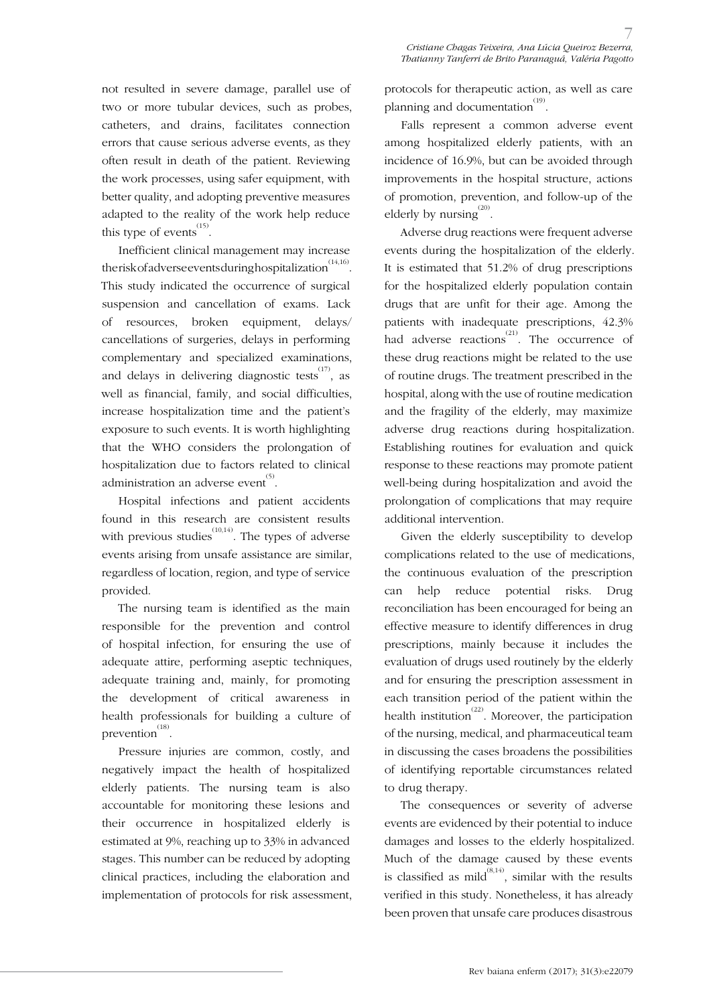not resulted in severe damage, parallel use of two or more tubular devices, such as probes, catheters, and drains, facilitates connection errors that cause serious adverse events, as they often result in death of the patient. Reviewing the work processes, using safer equipment, with better quality, and adopting preventive measures adapted to the reality of the work help reduce this type of events  $^{(15)}$ .

Inefficient clinical management may increase the risk of adverse events during hospitalization  $\overset{\text{(14,16)}}{\ldots}$ . This study indicated the occurrence of surgical suspension and cancellation of exams. Lack of resources, broken equipment, delays/ cancellations of surgeries, delays in performing complementary and specialized examinations, and delays in delivering diagnostic tests  $^{(17)}$ , as well as financial, family, and social difficulties, increase hospitalization time and the patient's exposure to such events. It is worth highlighting that the WHO considers the prolongation of hospitalization due to factors related to clinical administration an adverse event $\overset{(5)}{.}$ 

Hospital infections and patient accidents found in this research are consistent results with previous studies<sup> $(10,14)$ </sup>. The types of adverse events arising from unsafe assistance are similar, regardless of location, region, and type of service provided.

The nursing team is identified as the main responsible for the prevention and control of hospital infection, for ensuring the use of adequate attire, performing aseptic techniques, adequate training and, mainly, for promoting the development of critical awareness in health professionals for building a culture of prevention $^{(18)}$ .

Pressure injuries are common, costly, and negatively impact the health of hospitalized elderly patients. The nursing team is also accountable for monitoring these lesions and their occurrence in hospitalized elderly is estimated at 9%, reaching up to 33% in advanced stages. This number can be reduced by adopting clinical practices, including the elaboration and implementation of protocols for risk assessment, protocols for therapeutic action, as well as care planning and documentation $^{(19)}$ .

Falls represent a common adverse event among hospitalized elderly patients, with an incidence of 16.9%, but can be avoided through improvements in the hospital structure, actions of promotion, prevention, and follow-up of the elderly by nursing $^{(20)}$ .

Adverse drug reactions were frequent adverse events during the hospitalization of the elderly. It is estimated that 51.2% of drug prescriptions for the hospitalized elderly population contain drugs that are unfit for their age. Among the patients with inadequate prescriptions, 42.3% had adverse reactions<sup>(21)</sup>. The occurrence of these drug reactions might be related to the use of routine drugs. The treatment prescribed in the hospital, along with the use of routine medication and the fragility of the elderly, may maximize adverse drug reactions during hospitalization. Establishing routines for evaluation and quick response to these reactions may promote patient well-being during hospitalization and avoid the prolongation of complications that may require additional intervention.

Given the elderly susceptibility to develop complications related to the use of medications, the continuous evaluation of the prescription can help reduce potential risks. Drug reconciliation has been encouraged for being an effective measure to identify differences in drug prescriptions, mainly because it includes the evaluation of drugs used routinely by the elderly and for ensuring the prescription assessment in each transition period of the patient within the health institution<sup> $(22)$ </sup>. Moreover, the participation of the nursing, medical, and pharmaceutical team in discussing the cases broadens the possibilities of identifying reportable circumstances related to drug therapy.

The consequences or severity of adverse events are evidenced by their potential to induce damages and losses to the elderly hospitalized. Much of the damage caused by these events is classified as mild<sup> $(8,14)$ </sup>, similar with the results verified in this study. Nonetheless, it has already been proven that unsafe care produces disastrous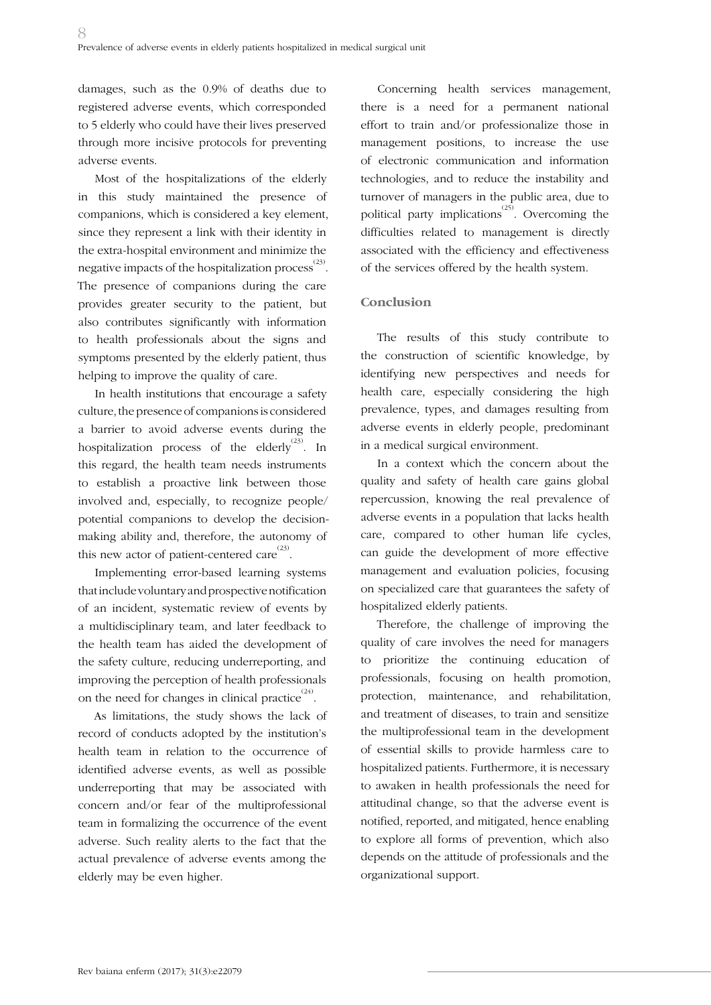damages, such as the 0.9% of deaths due to registered adverse events, which corresponded to 5 elderly who could have their lives preserved through more incisive protocols for preventing adverse events.

Most of the hospitalizations of the elderly in this study maintained the presence of companions, which is considered a key element, since they represent a link with their identity in the extra-hospital environment and minimize the negative impacts of the hospitalization process  $^{(23)}$  . The presence of companions during the care provides greater security to the patient, but also contributes significantly with information to health professionals about the signs and symptoms presented by the elderly patient, thus helping to improve the quality of care.

In health institutions that encourage a safety culture, the presence of companions is considered a barrier to avoid adverse events during the hospitalization process of the elderly  $^{(23)}$ . In this regard, the health team needs instruments to establish a proactive link between those involved and, especially, to recognize people/ potential companions to develop the decisionmaking ability and, therefore, the autonomy of this new actor of patient-centered care  $^{(23)}$ .

Implementing error-based learning systems that include voluntary and prospective notification of an incident, systematic review of events by a multidisciplinary team, and later feedback to the health team has aided the development of the safety culture, reducing underreporting, and improving the perception of health professionals on the need for changes in clinical practice $^{(24)}$ .

As limitations, the study shows the lack of record of conducts adopted by the institution's health team in relation to the occurrence of identified adverse events, as well as possible underreporting that may be associated with concern and/or fear of the multiprofessional team in formalizing the occurrence of the event adverse. Such reality alerts to the fact that the actual prevalence of adverse events among the elderly may be even higher.

Concerning health services management, there is a need for a permanent national effort to train and/or professionalize those in management positions, to increase the use of electronic communication and information technologies, and to reduce the instability and turnover of managers in the public area, due to political party implications<sup> $(25)$ </sup>. Overcoming the difficulties related to management is directly associated with the efficiency and effectiveness of the services offered by the health system.

## **Conclusion**

The results of this study contribute to the construction of scientific knowledge, by identifying new perspectives and needs for health care, especially considering the high prevalence, types, and damages resulting from adverse events in elderly people, predominant in a medical surgical environment.

In a context which the concern about the quality and safety of health care gains global repercussion, knowing the real prevalence of adverse events in a population that lacks health care, compared to other human life cycles, can guide the development of more effective management and evaluation policies, focusing on specialized care that guarantees the safety of hospitalized elderly patients.

Therefore, the challenge of improving the quality of care involves the need for managers to prioritize the continuing education of professionals, focusing on health promotion, protection, maintenance, and rehabilitation, and treatment of diseases, to train and sensitize the multiprofessional team in the development of essential skills to provide harmless care to hospitalized patients. Furthermore, it is necessary to awaken in health professionals the need for attitudinal change, so that the adverse event is notified, reported, and mitigated, hence enabling to explore all forms of prevention, which also depends on the attitude of professionals and the organizational support.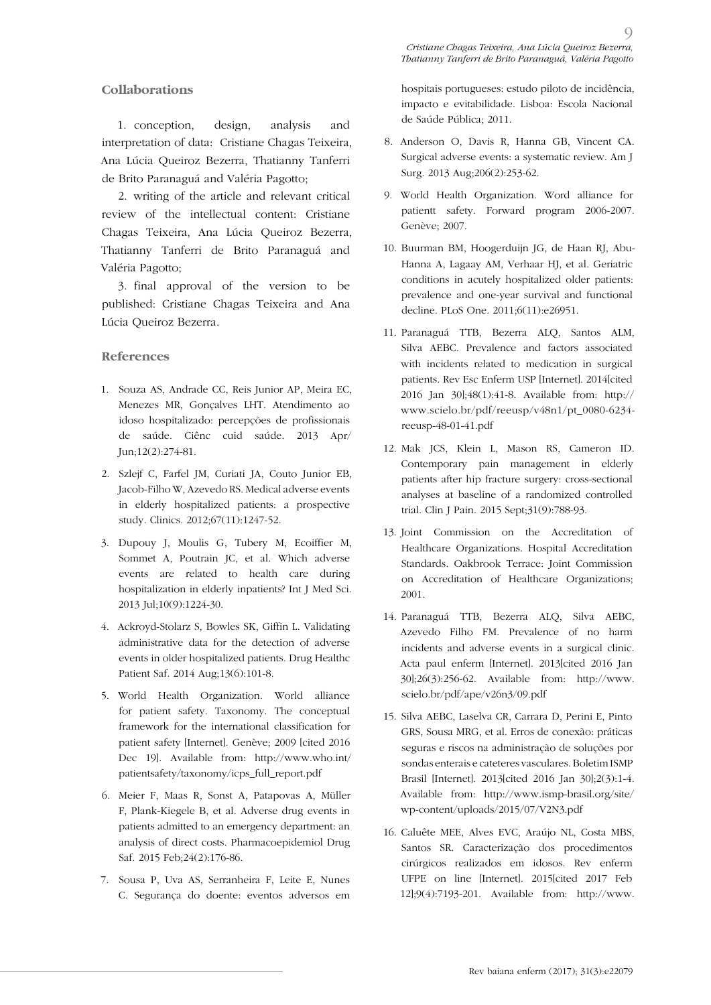#### **Collaborations**

1. conception, design, analysis and interpretation of data: Cristiane Chagas Teixeira, Ana Lúcia Queiroz Bezerra, Thatianny Tanferri de Brito Paranaguá and Valéria Pagotto;

2. writing of the article and relevant critical review of the intellectual content: Cristiane Chagas Teixeira, Ana Lúcia Queiroz Bezerra, Thatianny Tanferri de Brito Paranaguá and Valéria Pagotto;

3. final approval of the version to be published: Cristiane Chagas Teixeira and Ana Lúcia Queiroz Bezerra.

### **References**

- 1. Souza AS, Andrade CC, Reis Junior AP, Meira EC, Menezes MR, Gonçalves LHT. Atendimento ao idoso hospitalizado: percepções de profissionais de saúde. Ciênc cuid saúde. 2013 Apr/ Jun;12(2):274-81.
- 2. Szlejf C, Farfel JM, Curiati JA, Couto Junior EB, Jacob-Filho W, Azevedo RS. Medical adverse events in elderly hospitalized patients: a prospective study. Clinics. 2012;67(11):1247-52.
- 3. Dupouy J, Moulis G, Tubery M, Ecoiffier M, Sommet A, Poutrain JC, et al. Which adverse events are related to health care during hospitalization in elderly inpatients? Int J Med Sci. 2013 Jul;10(9):1224-30.
- 4. Ackroyd-Stolarz S, Bowles SK, Giffin L. Validating administrative data for the detection of adverse events in older hospitalized patients. Drug Healthc Patient Saf. 2014 Aug;13(6):101-8.
- 5. World Health Organization. World alliance for patient safety. Taxonomy. The conceptual framework for the international classification for patient safety [Internet]. Genève; 2009 [cited 2016 Dec 19]. Available from: http://www.who.int/ patientsafety/taxonomy/icps\_full\_report.pdf
- 6. Meier F, Maas R, Sonst A, Patapovas A, Müller F, Plank-Kiegele B, et al. Adverse drug events in patients admitted to an emergency department: an analysis of direct costs. Pharmacoepidemiol Drug Saf. 2015 Feb;24(2):176-86.
- 7. Sousa P, Uva AS, Serranheira F, Leite E, Nunes C. Segurança do doente: eventos adversos em

hospitais portugueses: estudo piloto de incidência, impacto e evitabilidade. Lisboa: Escola Nacional de Saúde Pública; 2011.

- 8. Anderson O, Davis R, Hanna GB, Vincent CA. Surgical adverse events: a systematic review. Am J Surg. 2013 Aug;206(2):253-62.
- 9. World Health Organization. Word alliance for patientt safety. Forward program 2006-2007. Genève; 2007.
- 10. Buurman BM, Hoogerduijn JG, de Haan RJ, Abu-Hanna A, Lagaay AM, Verhaar HJ, et al. Geriatric conditions in acutely hospitalized older patients: prevalence and one-year survival and functional decline. PLoS One. 2011;6(11):e26951.
- 11. Paranaguá TTB, Bezerra ALQ, Santos ALM, Silva AEBC. Prevalence and factors associated with incidents related to medication in surgical patients. Rev Esc Enferm USP [Internet]. 2014[cited 2016 Jan 30];48(1):41-8. Available from: http:// www.scielo.br/pdf/reeusp/v48n1/pt\_0080-6234 reeusp-48-01-41.pdf
- 12. Mak JCS, Klein L, Mason RS, Cameron ID. Contemporary pain management in elderly patients after hip fracture surgery: cross-sectional analyses at baseline of a randomized controlled trial. Clin J Pain. 2015 Sept;31(9):788-93.
- 13. Joint Commission on the Accreditation of Healthcare Organizations. Hospital Accreditation Standards. Oakbrook Terrace: Joint Commission on Accreditation of Healthcare Organizations; 2001.
- 14. Paranaguá TTB, Bezerra ALQ, Silva AEBC, Azevedo Filho FM. Prevalence of no harm incidents and adverse events in a surgical clinic. Acta paul enferm [Internet]. 2013[cited 2016 Jan 30];26(3):256-62. Available from: http://www. scielo.br/pdf/ape/v26n3/09.pdf
- 15. Silva AEBC, Laselva CR, Carrara D, Perini E, Pinto GRS, Sousa MRG, et al. Erros de conexão: práticas seguras e riscos na administração de soluções por sondas enterais e cateteres vasculares. Boletim ISMP Brasil [Internet]. 2013[cited 2016 Jan 30];2(3):1-4. Available from: http://www.ismp-brasil.org/site/ wp-content/uploads/2015/07/V2N3.pdf
- 16. Caluête MEE, Alves EVC, Araújo NL, Costa MBS, Santos SR. Caracterização dos procedimentos cirúrgicos realizados em idosos. Rev enferm UFPE on line [Internet]. 2015[cited 2017 Feb 12];9(4):7193-201. Available from: http://www.